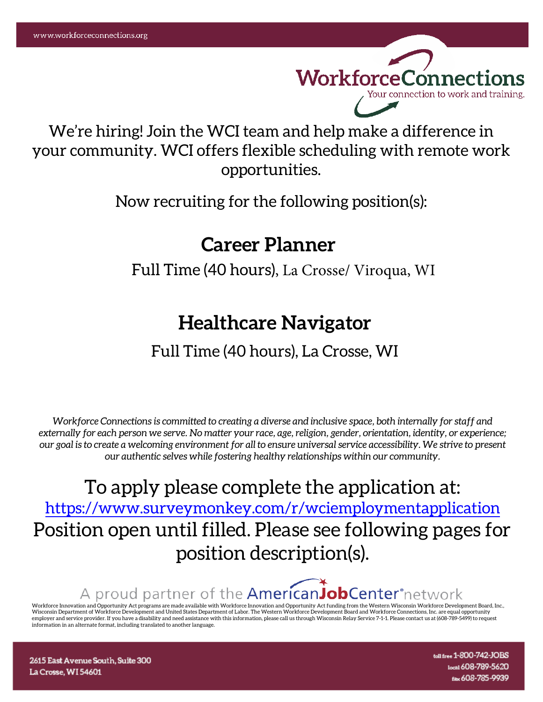WorkforceConnections Your connection to work and training.

We're hiring! Join the WCI team and help make a difference in your community. WCI offers flexible scheduling with remote work opportunities.

Now recruiting for the following position(s):

# **Career Planner**

Full Time (40 hours), La Crosse/ Viroqua, WI

# **Healthcare Navigator**

# Full Time (40 hours), La Crosse, WI

*Workforce Connections is committed to creating a diverse and inclusive space, both internally for staff and externally for each person we serve. No matter your race, age, religion, gender, orientation, identity, or experience; our goal is to create a welcoming environment for all to ensure universal service accessibility. We strive to present our authentic selves while fostering healthy relationships within our community.* 

To apply please complete the application at: <https://www.surveymonkey.com/r/wciemploymentapplication> Position open until filled. Please see following pages for position description(s).

A proud partner of the **AmericanJobCenter** network

Workforce Innovation and Opportunity Act programs are made available with Workforce Innovation and Opportunity Act funding from the Western Wisconsin Workforce Development Board, Inc., Wisconsin Department of Workforce Development and United States Department of Labor. The Western Workforce Development Board and Workforce Connections, Inc. are equal opportunity<br>employer and service provider. If you have information in an alternate format, including translated to another language.

2615 East Avenue South, Suite 300 La Crosse, WI 54601

toll free 1-800-742-JOBS local 608-789-5620 fax 608-785-9939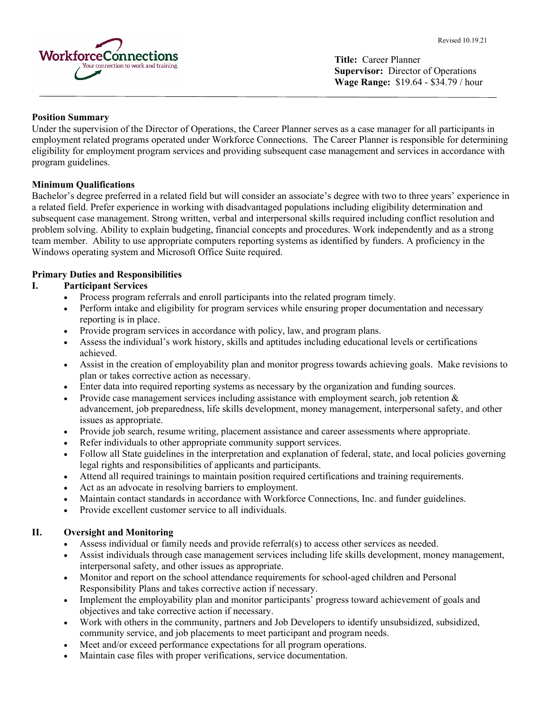

**Title:** Career Planner **Supervisor:** Director of Operations **Wage Range:** \$19.64 - \$34.79 / hour

# **Position Summary**

Under the supervision of the Director of Operations, the Career Planner serves as a case manager for all participants in employment related programs operated under Workforce Connections. The Career Planner is responsible for determining eligibility for employment program services and providing subsequent case management and services in accordance with program guidelines.

# **Minimum Qualifications**

Bachelor's degree preferred in a related field but will consider an associate's degree with two to three years' experience in a related field. Prefer experience in working with disadvantaged populations including eligibility determination and subsequent case management. Strong written, verbal and interpersonal skills required including conflict resolution and problem solving. Ability to explain budgeting, financial concepts and procedures. Work independently and as a strong team member. Ability to use appropriate computers reporting systems as identified by funders. A proficiency in the Windows operating system and Microsoft Office Suite required.

# **Primary Duties and Responsibilities**

# **I. Participant Services**

- Process program referrals and enroll participants into the related program timely.
- Perform intake and eligibility for program services while ensuring proper documentation and necessary reporting is in place.
- Provide program services in accordance with policy, law, and program plans.
- Assess the individual's work history, skills and aptitudes including educational levels or certifications achieved.
- Assist in the creation of employability plan and monitor progress towards achieving goals. Make revisions to plan or takes corrective action as necessary.
- Enter data into required reporting systems as necessary by the organization and funding sources.
- Provide case management services including assistance with employment search, job retention  $\&$ advancement, job preparedness, life skills development, money management, interpersonal safety, and other issues as appropriate.
- Provide job search, resume writing, placement assistance and career assessments where appropriate.
- Refer individuals to other appropriate community support services.
- Follow all State guidelines in the interpretation and explanation of federal, state, and local policies governing legal rights and responsibilities of applicants and participants.
- Attend all required trainings to maintain position required certifications and training requirements.
- Act as an advocate in resolving barriers to employment.
- Maintain contact standards in accordance with Workforce Connections, Inc. and funder guidelines.
- Provide excellent customer service to all individuals.

# **II. Oversight and Monitoring**

- Assess individual or family needs and provide referral(s) to access other services as needed.
- Assist individuals through case management services including life skills development, money management, interpersonal safety, and other issues as appropriate.
- Monitor and report on the school attendance requirements for school-aged children and Personal Responsibility Plans and takes corrective action if necessary.
- Implement the employability plan and monitor participants' progress toward achievement of goals and objectives and take corrective action if necessary.
- Work with others in the community, partners and Job Developers to identify unsubsidized, subsidized, community service, and job placements to meet participant and program needs.
- Meet and/or exceed performance expectations for all program operations.
- Maintain case files with proper verifications, service documentation.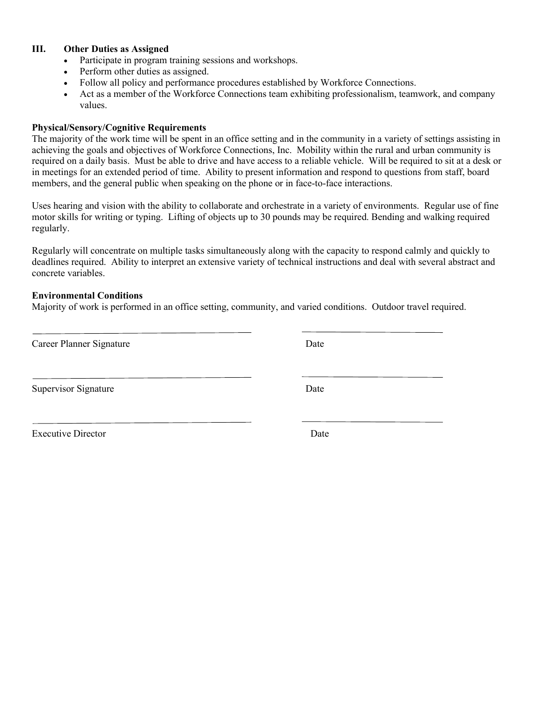# **III. Other Duties as Assigned**

- Participate in program training sessions and workshops.
- Perform other duties as assigned.
- Follow all policy and performance procedures established by Workforce Connections.
- Act as a member of the Workforce Connections team exhibiting professionalism, teamwork, and company values.

#### **Physical/Sensory/Cognitive Requirements**

The majority of the work time will be spent in an office setting and in the community in a variety of settings assisting in achieving the goals and objectives of Workforce Connections, Inc. Mobility within the rural and urban community is required on a daily basis. Must be able to drive and have access to a reliable vehicle. Will be required to sit at a desk or in meetings for an extended period of time. Ability to present information and respond to questions from staff, board members, and the general public when speaking on the phone or in face-to-face interactions.

Uses hearing and vision with the ability to collaborate and orchestrate in a variety of environments. Regular use of fine motor skills for writing or typing. Lifting of objects up to 30 pounds may be required. Bending and walking required regularly.

Regularly will concentrate on multiple tasks simultaneously along with the capacity to respond calmly and quickly to deadlines required. Ability to interpret an extensive variety of technical instructions and deal with several abstract and concrete variables.

#### **Environmental Conditions**

Majority of work is performed in an office setting, community, and varied conditions. Outdoor travel required.

| Career Planner Signature  | Date |
|---------------------------|------|
| Supervisor Signature      | Date |
| <b>Executive Director</b> | Date |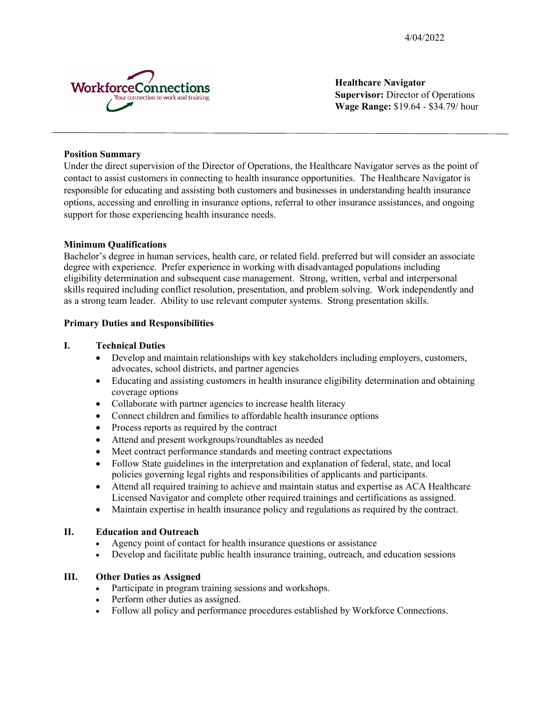4/04/2022



**Healthcare Navigator Supervisor:** Director of Operations **Wage Range:** \$19.64 - \$34.79/ hour

# **Position Summary**

Under the direct supervision of the Director of Operations, the Healthcare Navigator serves as the point of contact to assist customers in connecting to health insurance opportunities. The Healthcare Navigator is responsible for educating and assisting both customers and businesses in understanding health insurance options, accessing and enrolling in insurance options, referral to other insurance assistances, and ongoing support for those experiencing health insurance needs.

# **Minimum Qualifications**

Bachelor's degree in human services, health care, or related field. preferred but will consider an associate degree with experience. Prefer experience in working with disadvantaged populations including eligibility determination and subsequent case management. Strong, written, verbal and interpersonal skills required including conflict resolution, presentation, and problem solving. Work independently and as a strong team leader. Ability to use relevant computer systems. Strong presentation skills.

# **Primary Duties and Responsibilities**

# **I. Technical Duties**

- Develop and maintain relationships with key stakeholders including employers, customers, advocates, school districts, and partner agencies
- Educating and assisting customers in health insurance eligibility determination and obtaining coverage options
- Collaborate with partner agencies to increase health literacy
- Connect children and families to affordable health insurance options
- Process reports as required by the contract
- Attend and present workgroups/roundtables as needed
- Meet contract performance standards and meeting contract expectations
- Follow State guidelines in the interpretation and explanation of federal, state, and local policies governing legal rights and responsibilities of applicants and participants.
- Attend all required training to achieve and maintain status and expertise as ACA Healthcare Licensed Navigator and complete other required trainings and certifications as assigned.
- Maintain expertise in health insurance policy and regulations as required by the contract.

# **II. Education and Outreach**

- Agency point of contact for health insurance questions or assistance
- Develop and facilitate public health insurance training, outreach, and education sessions

# **III. Other Duties as Assigned**

- Participate in program training sessions and workshops.
- Perform other duties as assigned.
- Follow all policy and performance procedures established by Workforce Connections.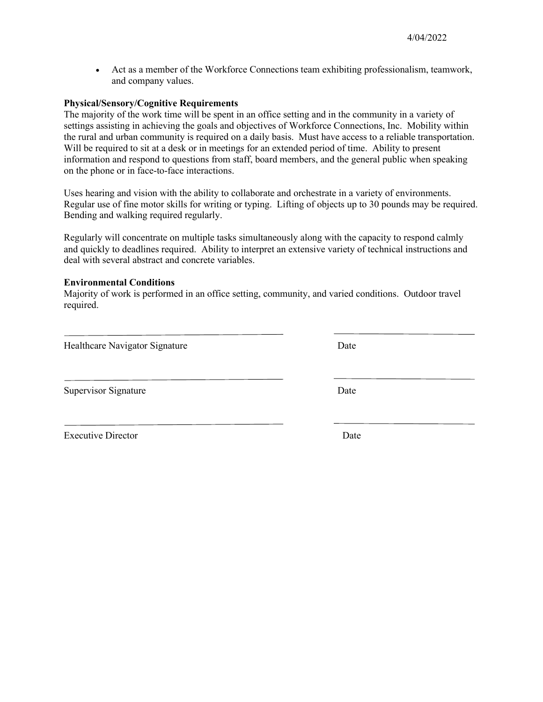• Act as a member of the Workforce Connections team exhibiting professionalism, teamwork, and company values.

#### **Physical/Sensory/Cognitive Requirements**

The majority of the work time will be spent in an office setting and in the community in a variety of settings assisting in achieving the goals and objectives of Workforce Connections, Inc. Mobility within the rural and urban community is required on a daily basis. Must have access to a reliable transportation. Will be required to sit at a desk or in meetings for an extended period of time. Ability to present information and respond to questions from staff, board members, and the general public when speaking on the phone or in face-to-face interactions.

Uses hearing and vision with the ability to collaborate and orchestrate in a variety of environments. Regular use of fine motor skills for writing or typing. Lifting of objects up to 30 pounds may be required. Bending and walking required regularly.

Regularly will concentrate on multiple tasks simultaneously along with the capacity to respond calmly and quickly to deadlines required. Ability to interpret an extensive variety of technical instructions and deal with several abstract and concrete variables.

#### **Environmental Conditions**

Majority of work is performed in an office setting, community, and varied conditions. Outdoor travel required.

Healthcare Navigator Signature Date

Supervisor Signature Date

Executive Director Date